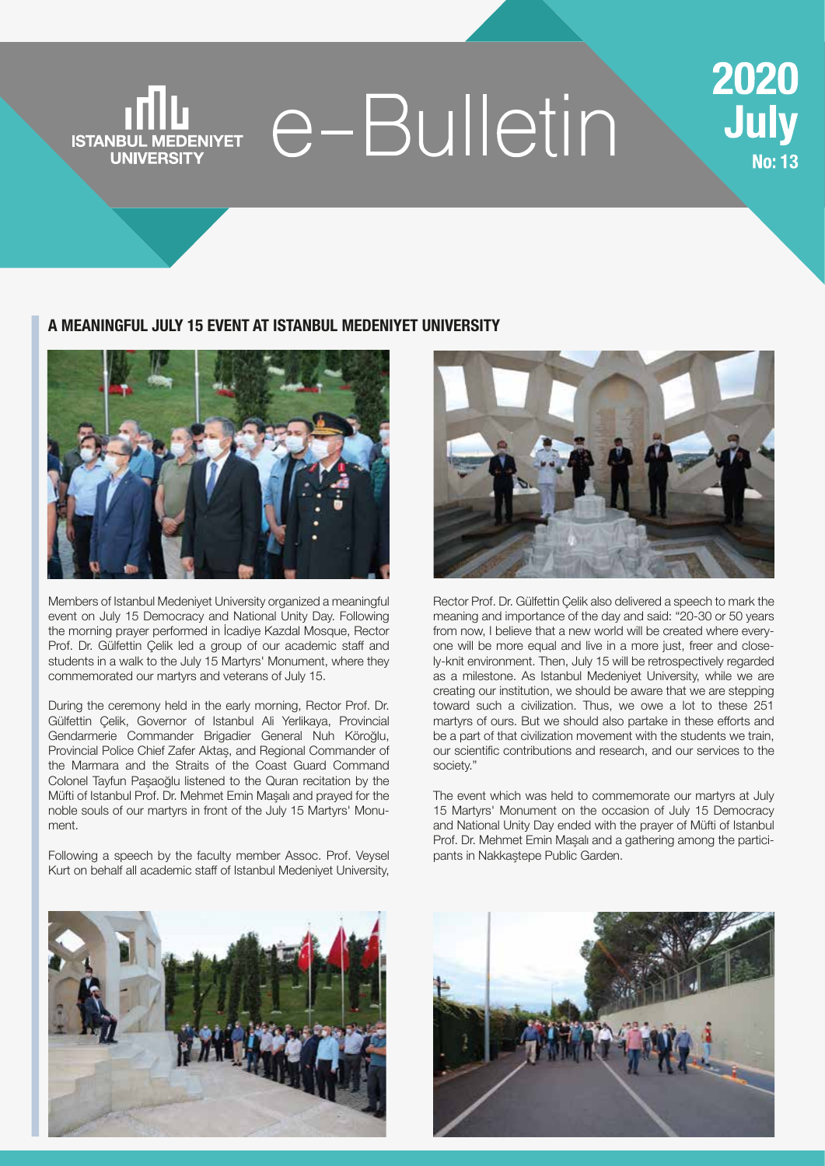### e-Bulletin **ISTANBUL MEDENIYET UNIVERSITY**

### 2020 **July No: 13**

#### **A MEANINGFUL JULY 15 EVENT AT ISTANBUL MEDENIYET UNIVERSITY**



Members of Istanbul Medeniyet University organized a meaningful event on July 15 Democracy and National Unity Day. Following the morning prayer performed in İcadiye Kazdal Mosque, Rector Prof. Dr. Gülfettin Çelik led a group of our academic staff and students in a walk to the July 15 Martyrs' Monument, where they commemorated our martyrs and veterans of July 15.

During the ceremony held in the early morning, Rector Prof. Dr. Gülfettin Çelik, Governor of Istanbul Ali Yerlikaya, Provincial Gendarmerie Commander Brigadier General Nuh Köroğlu, Provincial Police Chief Zafer Aktaş, and Regional Commander of the Marmara and the Straits of the Coast Guard Command Colonel Tayfun Paşaoğlu listened to the Quran recitation by the Müfti of Istanbul Prof. Dr. Mehmet Emin Maşalı and prayed for the noble souls of our martyrs in front of the July 15 Martyrs' Monument.

Following a speech by the faculty member Assoc. Prof. Veysel Kurt on behalf all academic staff of Istanbul Medeniyet University,



Rector Prof. Dr. Gülfettin Çelik also delivered a speech to mark the meaning and importance of the day and said: "20-30 or 50 years from now, I believe that a new world will be created where everyone will be more equal and live in a more just, freer and closely-knit environment. Then, July 15 will be retrospectively regarded as a milestone. As Istanbul Medeniyet University, while we are creating our institution, we should be aware that we are stepping toward such a civilization. Thus, we owe a lot to these 251 martyrs of ours. But we should also partake in these efforts and be a part of that civilization movement with the students we train, our scientific contributions and research, and our services to the society."

The event which was held to commemorate our martyrs at July 15 Martyrs' Monument on the occasion of July 15 Democracy and National Unity Day ended with the prayer of Müfti of Istanbul Prof. Dr. Mehmet Emin Maşalı and a gathering among the participants in Nakkaştepe Public Garden.



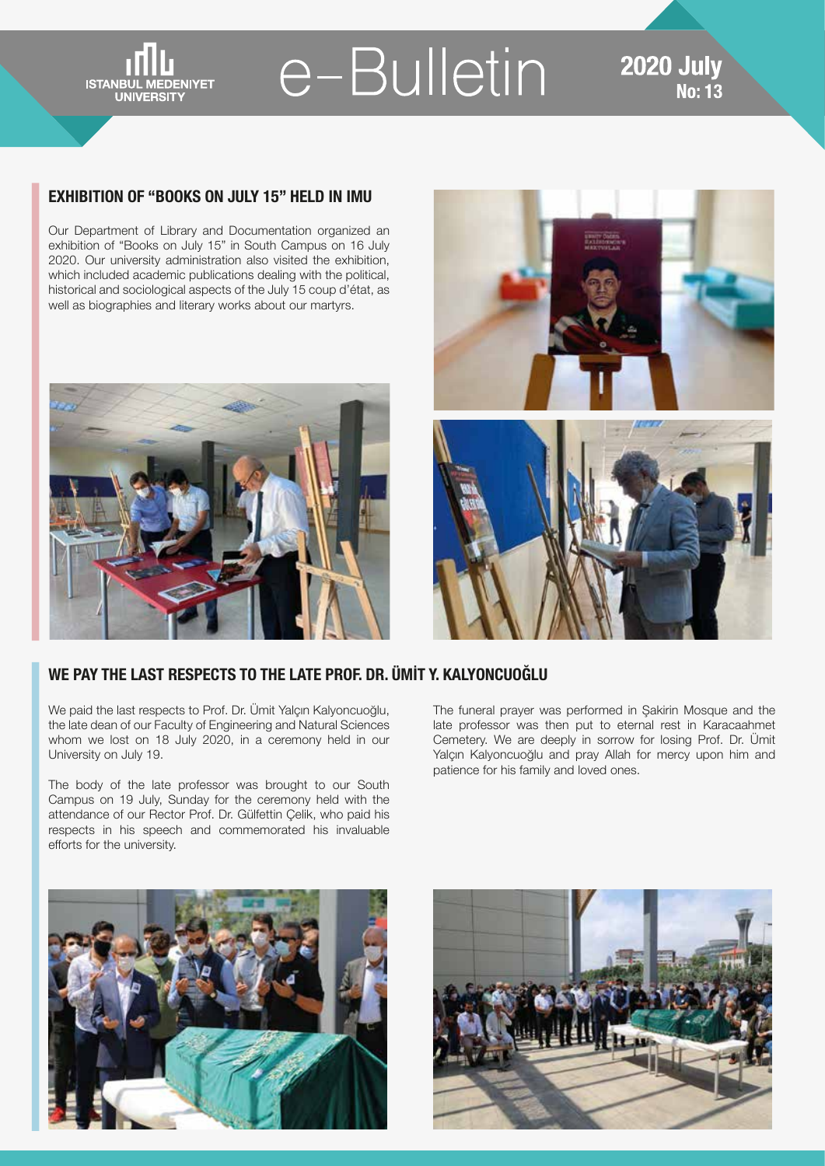**ISTANBUL MEDENIYET UNIVERSITY** 

## e-Bulletin

#### **2020 July No: 13**

#### **EXHIBITION OF "BOOKS ON JULY 15" HELD IN IMU**

Our Department of Library and Documentation organized an exhibition of "Books on July 15" in South Campus on 16 July 2020. Our university administration also visited the exhibition, which included academic publications dealing with the political, historical and sociological aspects of the July 15 coup d'état, as well as biographies and literary works about our martyrs.





#### **WE PAY THE LAST RESPECTS TO THE LATE PROF. DR. ÜMİT Y. KALYONCUOĞLU**

We paid the last respects to Prof. Dr. Ümit Yalçın Kalyoncuoğlu, the late dean of our Faculty of Engineering and Natural Sciences whom we lost on 18 July 2020, in a ceremony held in our University on July 19.

The body of the late professor was brought to our South Campus on 19 July, Sunday for the ceremony held with the attendance of our Rector Prof. Dr. Gülfettin Çelik, who paid his respects in his speech and commemorated his invaluable efforts for the university.

The funeral prayer was performed in Şakirin Mosque and the late professor was then put to eternal rest in Karacaahmet Cemetery. We are deeply in sorrow for losing Prof. Dr. Ümit Yalçın Kalyoncuoğlu and pray Allah for mercy upon him and patience for his family and loved ones.